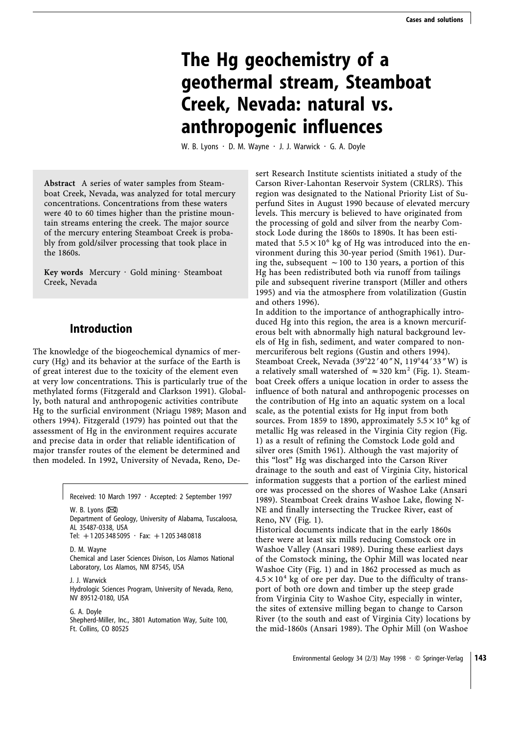# **The Hg geochemistry of a geothermal stream, Steamboat Creek, Nevada: natural vs. anthropogenic influences**

W. B. Lyons  $\cdot$  D. M. Wayne  $\cdot$  J. J. Warwick  $\cdot$  G. A. Doyle

**Abstract** A series of water samples from Steamboat Creek, Nevada, was analyzed for total mercury concentrations. Concentrations from these waters were 40 to 60 times higher than the pristine mountain streams entering the creek. The major source of the mercury entering Steamboat Creek is probably from gold/silver processing that took place in the 1860s.

Key words Mercury · Gold mining · Steamboat Creek, Nevada

# **Introduction**

The knowledge of the biogeochemical dynamics of mercury (Hg) and its behavior at the surface of the Earth is of great interest due to the toxicity of the element even at very low concentrations. This is particularly true of the methylated forms (Fitzgerald and Clarkson 1991). Globally, both natural and anthropogenic activities contribute Hg to the surficial environment (Nriagu 1989; Mason and others 1994). Fitzgerald (1979) has pointed out that the assessment of Hg in the environment requires accurate and precise data in order that reliable identification of major transfer routes of the element be determined and then modeled. In 1992, University of Nevada, Reno, De-

Received: 10 March 1997 · Accepted: 2 September 1997

W. B. Lyons  $(\boxtimes)$ Department of Geology, University of Alabama, Tuscaloosa, AL 35487-0338, USA Tel:  $+12053485095 \cdot$  Fax:  $+12053480818$ 

D. M. Wayne Chemical and Laser Sciences Divison, Los Alamos National Laboratory, Los Alamos, NM 87545, USA

J. J. Warwick Hydrologic Sciences Program, University of Nevada, Reno, NV 89512-0180, USA

G. A. Doyle Shepherd-Miller, Inc., 3801 Automation Way, Suite 100, Ft. Collins, CO 80525

sert Research Institute scientists initiated a study of the Carson River-Lahontan Reservoir System (CRLRS). This region was designated to the National Priority List of Superfund Sites in August 1990 because of elevated mercury levels. This mercury is believed to have originated from the processing of gold and silver from the nearby Comstock Lode during the 1860s to 1890s. It has been estimated that  $5.5 \times 10^6$  kg of Hg was introduced into the environment during this 30-year period (Smith 1961). During the, subsequent  $\sim$  100 to 130 years, a portion of this Hg has been redistributed both via runoff from tailings pile and subsequent riverine transport (Miller and others 1995) and via the atmosphere from volatilization (Gustin and others 1996).

In addition to the importance of anthographically introduced Hg into this region, the area is a known mercuriferous belt with abnormally high natural background levels of Hg in fish, sediment, and water compared to nonmercuriferous belt regions (Gustin and others 1994). Steamboat Creek, Nevada (39°22'40" N, 119°44'33" W) is a relatively small watershed of  $\approx$  320 km<sup>2</sup> (Fig. 1). Steamboat Creek offers a unique location in order to assess the influence of both natural and anthropogenic processes on the contribution of Hg into an aquatic system on a local scale, as the potential exists for Hg input from both sources. From 1859 to 1890, approximately  $5.5 \times 10^6$  kg of metallic Hg was released in the Virginia City region (Fig. 1) as a result of refining the Comstock Lode gold and silver ores (Smith 1961). Although the vast majority of this "lost" Hg was discharged into the Carson River drainage to the south and east of Virginia City, historical information suggests that a portion of the earliest mined ore was processed on the shores of Washoe Lake (Ansari 1989). Steamboat Creek drains Washoe Lake, flowing N-NE and finally intersecting the Truckee River, east of Reno, NV (Fig. 1).

Historical documents indicate that in the early 1860s there were at least six mills reducing Comstock ore in Washoe Valley (Ansari 1989). During these earliest days of the Comstock mining, the Ophir Mill was located near Washoe City (Fig. 1) and in 1862 processed as much as  $4.5 \times 10^4$  kg of ore per day. Due to the difficulty of transport of both ore down and timber up the steep grade from Virginia City to Washoe City, especially in winter, the sites of extensive milling began to change to Carson River (to the south and east of Virginia City) locations by the mid-1860s (Ansari 1989). The Ophir Mill (on Washoe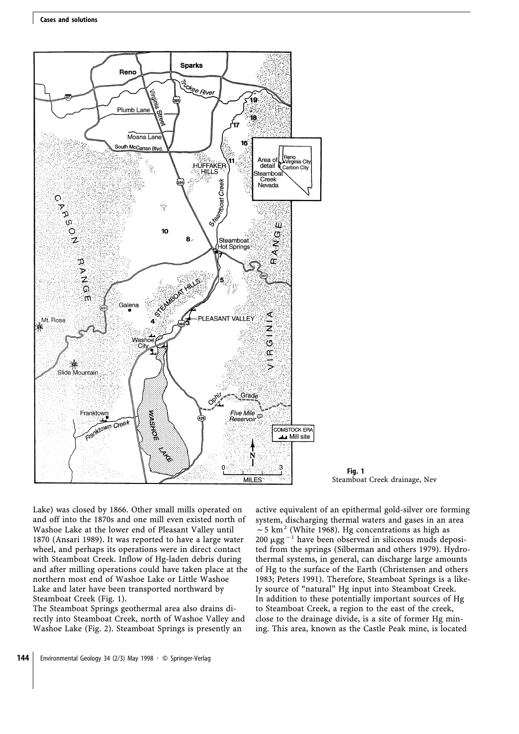

**Fig. 1** Steamboat Creek drainage, Nev

Lake) was closed by 1866. Other small mills operated on and off into the 1870s and one mill even existed north of Washoe Lake at the lower end of Pleasant Valley until 1870 (Ansari 1989). It was reported to have a large water wheel, and perhaps its operations were in direct contact with Steamboat Creek. Inflow of Hg-laden debris during and after milling operations could have taken place at the northern most end of Washoe Lake or Little Washoe Lake and later have been transported northward by Steamboat Creek (Fig. 1).

The Steamboat Springs geothermal area also drains directly into Steamboat Creek, north of Washoe Valley and Washoe Lake (Fig. 2). Steamboat Springs is presently an

active equivalent of an epithermal gold-silver ore forming system, discharging thermal waters and gases in an area  $\sim$  5 km<sup>2</sup> (White 1968). Hg concentrations as high as 200  $\mu$ gg<sup>-1</sup> have been observed in siliceous muds deposited from the springs (Silberman and others 1979). Hydrothermal systems, in general, can discharge large amounts of Hg to the surface of the Earth (Christensen and others 1983; Peters 1991). Therefore, Steamboat Springs is a likely source of "natural" Hg input into Steamboat Creek. In addition to these potentially important sources of Hg to Steamboat Creek, a region to the east of the creek, close to the drainage divide, is a site of former Hg mining. This area, known as the Castle Peak mine, is located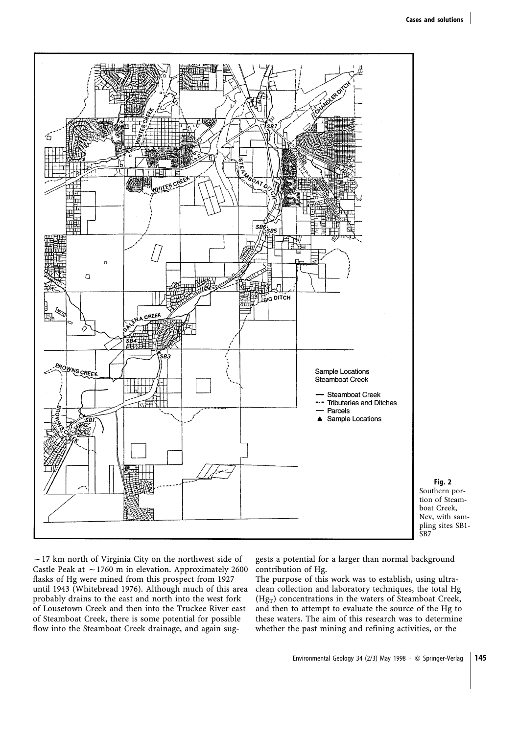

**Fig. 2** Southern portion of Steamboat Creek, Nev, with sampling sites SB1- SB7

 $\sim$  17 km north of Virginia City on the northwest side of Castle Peak at  $\sim$  1760 m in elevation. Approximately 2600 flasks of Hg were mined from this prospect from 1927 until 1943 (Whitebread 1976). Although much of this area probably drains to the east and north into the west fork of Lousetown Creek and then into the Truckee River east of Steamboat Creek, there is some potential for possible flow into the Steamboat Creek drainage, and again suggests a potential for a larger than normal background contribution of Hg.

The purpose of this work was to establish, using ultraclean collection and laboratory techniques, the total Hg  $(Hg_T)$  concentrations in the waters of Steamboat Creek, and then to attempt to evaluate the source of the Hg to these waters. The aim of this research was to determine whether the past mining and refining activities, or the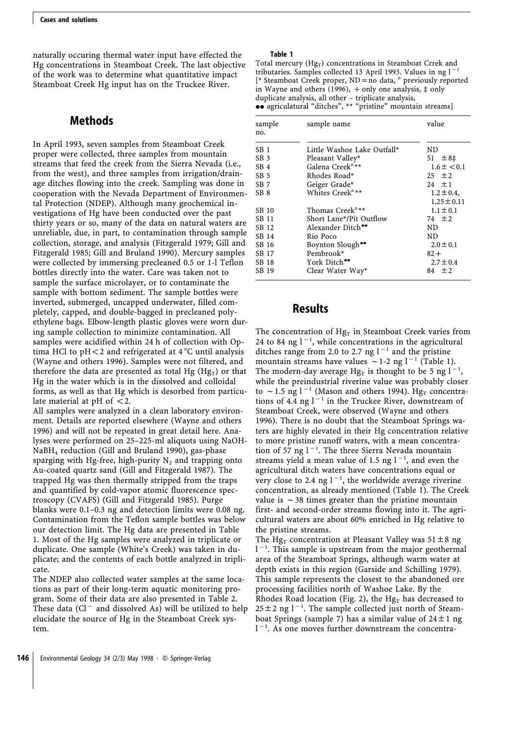naturally occuring thermal water input have effected the Hg concentrations in Steamboat Creek. The last objective of the work was to determine what quantitative impact Steamboat Creek Hg input has on the Truckee River.

# **Methods**

In April 1993, seven samples from Steamboat Creek proper were collected, three samples from mountain streams that feed the creek from the Sierra Nevada (i.e., from the west), and three samples from irrigation/drainage ditches flowing into the creek. Sampling was done in cooperation with the Nevada Department of Environmental Protection (NDEP). Although many geochemical investigations of Hg have been conducted over the past thirty years or so, many of the data on natural waters are unreliable, due, in part, to contamination through sample collection, storage, and analysis (Fitzgerald 1979; Gill and Fitzgerald 1985; Gill and Bruland 1990). Mercury samples were collected by immersing precleaned 0.5 or 1-l Teflon bottles directly into the water. Care was taken not to sample the surface microlayer, or to contaminate the sample with bottom sediment. The sample bottles were inverted, submerged, uncapped underwater, filled completely, capped, and double-bagged in precleaned polyethylene bags. Elbow-length plastic gloves were worn during sample collection to minimize contamination. All samples were acidified within 24 h of collection with Optima HCl to  $pH < 2$  and refrigerated at 4 °C until analysis (Wayne and others 1996). Samples were not filtered, and therefore the data are presented as total Hg  $(Hg_T)$  or that Hg in the water which is in the dissolved and colloidal forms, as well as that Hg which is desorbed from particulate material at  $pH$  of  $\lt$  2.

All samples were analyzed in a clean laboratory environment. Details are reported elsewhere (Wayne and others 1996) and will not be repeated in great detail here. Analyses were performed on 25–225-ml aliquots using NaOH-NaBH4 reduction (Gill and Bruland 1990), gas-phase sparging with Hg-free, high-purity  $N_2$  and trapping onto Au-coated quartz sand (Gill and Fitzgerald 1987). The trapped Hg was then thermally stripped from the traps and quantified by cold-vapor atomic fluorescence spectroscopy (CVAFS) (Gill and Fitzgerald 1985). Purge blanks were 0.1–0.3 ng and detection limits were 0.08 ng. Contamination from the Teflon sample bottles was below our detection limit. The Hg data are presented in Table 1. Most of the Hg samples were analyzed in triplicate or duplicate. One sample (White's Creek) was taken in duplicate; and the contents of each bottle analyzed in triplicate.

The NDEP also collected water samples at the same locations as part of their long-term aquatic monitoring program. Some of their data are also presented in Table 2. These data ( $Cl^-$  and dissolved As) will be utilized to help elucidate the source of Hg in the Steamboat Creek system.

#### **Table 1**

Total mercury  $(Hg_T)$  concentrations in Steamboat Crrek and tributaries. Samples collected 13 April 1993. Values in ng  $l^{-1}$ [ $*$  Steamboat Creek proper, ND = no data,  $\degree$  previously reported in Wayne and others (1996),  $+$  only one analysis,  $\ddagger$  only duplicate analysis, all other – triplicate analysis,  $\bullet\bullet$  agriculatural "ditches", \*\* "pristine" mountain streams]

| sample<br>no.   | sample name                   | value                              |
|-----------------|-------------------------------|------------------------------------|
| SB <sub>1</sub> | Little Washoe Lake Outfall*   | ND                                 |
| SB <sub>3</sub> | Pleasant Valley*              | $51 \pm 8$ ‡                       |
| SB <sub>4</sub> | Galena Creek <sup>o</sup> **  | $1.6 \pm < 0.1$                    |
| SB <sub>5</sub> | Rhodes Road*                  | $25 \pm 2$                         |
| SB <sub>7</sub> | Geiger Grade*                 | 2.4 $\pm 1$                        |
| SB <sub>8</sub> | Whites Creek <sup>o**</sup>   | $1.2 \pm 0.4$ ,<br>$1.25 \pm 0.11$ |
| SB 10           | Thomas Creek <sup>o</sup> **  | $1.1 \pm 0.1$                      |
| SB 11           | Short Lane*/Pit Outflow       | 74 $\pm 2$                         |
| SB 12           | Alexander Ditch <sup>••</sup> | ND                                 |
| SB 14           | Rio Poco                      | ND                                 |
| SB 16           | Boynton Slough <sup>**</sup>  | $2.0 \pm 0.1$                      |
| SB 17           | Pembrook*                     | $82 +$                             |
| SB 18           | York Ditch <sup>••</sup>      | $2.7 \pm 0.4$                      |
| SB 19           | Clear Water Way*              | $\pm 2$<br>84                      |

# **Results**

The concentration of  $Hg_T$  in Steamboat Creek varies from 24 to 84 ng  $1^{-1}$ , while concentrations in the agricultural ditches range from 2.0 to 2.7 ng  $1^{-1}$  and the pristine mountain streams have values  $\sim$  1-2 ng l<sup>-1</sup> (Table 1). The modern-day average Hg<sub>T</sub> is thought to be 5 ng  $1<sup>-</sup>$ , while the preindustrial riverine value was probably closer to  $\sim$  1.5 ng l<sup>-1</sup> (Mason and others 1994). Hg<sub>T</sub> concentrations of 4.4 ng  $1^{-1}$  in the Truckee River, downstream of Steamboat Creek, were observed (Wayne and others 1996). There is no doubt that the Steamboat Springs waters are highly elevated in their Hg concentration relative to more pristine runoff waters, with a mean concentration of 57 ng  $1^{-1}$ . The three Sierra Nevada mountain streams yield a mean value of 1.5 ng  $1^{-1}$ , and even the agricultural ditch waters have concentrations equal or very close to 2.4 ng  $l^{-1}$ , the worldwide average riverine concentration, as already mentioned (Table 1). The Creek value is  $\sim$  38 times greater than the pristine mountain first- and second-order streams flowing into it. The agricultural waters are about 60% enriched in Hg relative to the pristine streams.

The Hg<sub>T</sub> concentration at Pleasant Valley was  $51 \pm 8$  ng  $1<sup>-1</sup>$ . This sample is upstream from the major geothermal area of the Steamboat Springs, although warm water at depth exists in this region (Garside and Schilling 1979). This sample represents the closest to the abandoned ore processing facilities north of Washoe Lake. By the Rhodes Road location (Fig. 2), the Hg<sub>T</sub> has decreased to  $25 \pm 2$  ng l<sup>-1</sup>. The sample collected just north of Steamboat Springs (sample 7) has a similar value of  $24 \pm 1$  ng  $1<sup>-1</sup>$ . As one moves further downstream the concentra-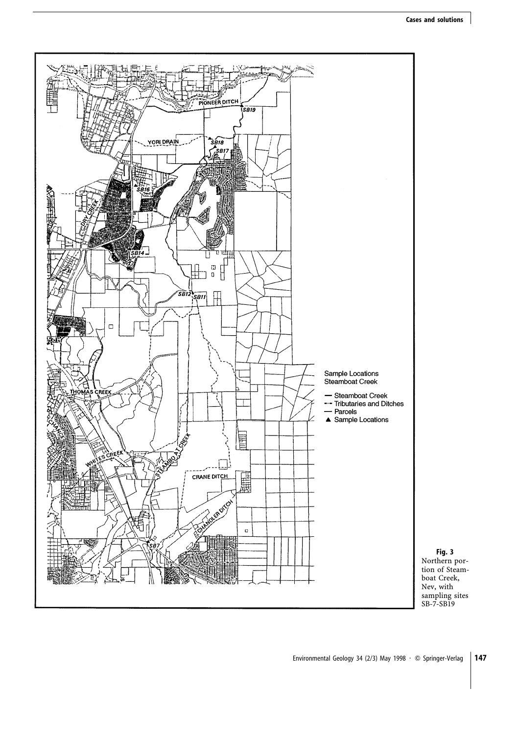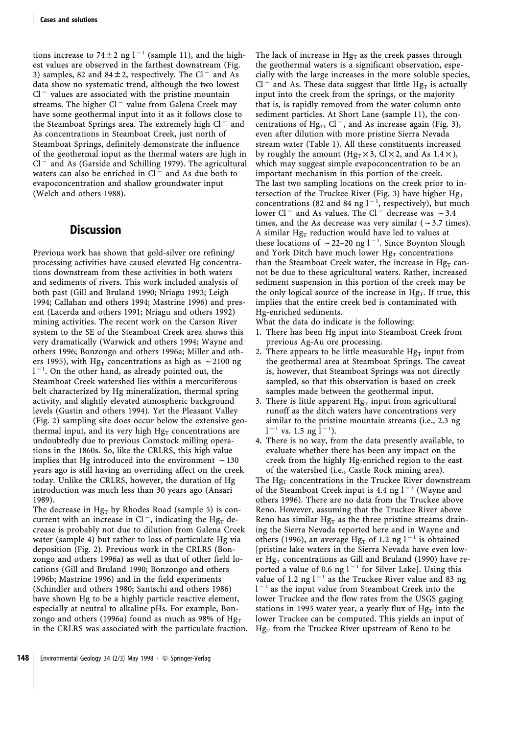tions increase to 74 $\pm$ 2 ng l<sup>-1</sup> (sample 11), and the highest values are observed in the farthest downstream (Fig. 3) samples, 82 and 84 $\pm$ 2, respectively. The Cl<sup>-</sup> and As data show no systematic trend, although the two lowest  $Cl^-$  values are associated with the pristine mountain streams. The higher  $Cl^-$  value from Galena Creek may have some geothermal input into it as it follows close to the Steamboat Springs area. The extremely high  $Cl^-$  and As concentrations in Steamboat Creek, just north of Steamboat Springs, definitely demonstrate the influence of the geothermal input as the thermal waters are high in  $Cl^-$  and As (Garside and Schilling 1979). The agricultural waters can also be enriched in  $Cl^-$  and As due both to evapoconcentration and shallow groundwater input (Welch and others 1988).

## **Discussion**

Previous work has shown that gold-silver ore refining/ processing activities have caused elevated Hg concentrations downstream from these activities in both waters and sediments of rivers. This work included analysis of both past (Gill and Bruland 1990; Nriagu 1993; Leigh 1994; Callahan and others 1994; Mastrine 1996) and present (Lacerda and others 1991; Nriagu and others 1992) mining activities. The recent work on the Carson River system to the SE of the Steamboat Creek area shows this very dramatically (Warwick and others 1994; Wayne and others 1996; Bonzongo and others 1996a; Miller and others 1995), with Hg<sub>T</sub> concentrations as high as  $\sim$  2100 ng  $1<sup>-1</sup>$ . On the other hand, as already pointed out, the Steamboat Creek watershed lies within a mercuriferous belt characterized by Hg mineralization, thermal spring activity, and slightly elevated atmospheric background levels (Gustin and others 1994). Yet the Pleasant Valley (Fig. 2) sampling site does occur below the extensive geothermal input, and its very high  $Hg<sub>T</sub>$  concentrations are undoubtedly due to previous Comstock milling operations in the 1860s. So, like the CRLRS, this high value implies that Hg introduced into the environment  $\sim$  130 years ago is still having an overriding affect on the creek today. Unlike the CRLRS, however, the duration of Hg introduction was much less than 30 years ago (Ansari 1989).

The decrease in  $Hg_T$  by Rhodes Road (sample 5) is concurrent with an increase in Cl<sup>-</sup>, indicating the Hg<sub>T</sub> decrease is probably not due to dilution from Galena Creek water (sample 4) but rather to loss of particulate Hg via deposition (Fig. 2). Previous work in the CRLRS (Bonzongo and others 1996a) as well as that of other field locations (Gill and Bruland 1990; Bonzongo and others 1996b; Mastrine 1996) and in the field experiments (Schindler and others 1980; Santschi and others 1986) have shown Hg to be a highly particle reactive element, especially at neutral to alkaline pHs. For example, Bonzongo and others (1996a) found as much as 98% of  $Hg_T$ in the CRLRS was associated with the particulate fraction. The lack of increase in  $Hg_T$  as the creek passes through the geothermal waters is a significant observation, especially with the large increases in the more soluble species,  $Cl^-$  and As. These data suggest that little Hg<sub>T</sub> is actually input into the creek from the springs, or the majority that is, is rapidly removed from the water column onto sediment particles. At Short Lane (sample 11), the concentrations of Hg<sub>T</sub>, Cl<sup>-</sup>, and As increase again (Fig. 3), even after dilution with more pristine Sierra Nevada stream water (Table 1). All these constituents increased by roughly the amount (Hg<sub>T</sub>  $\times$  3, Cl  $\times$  2, and As 1.4 $\times$ ), which may suggest simple evapoconcentration to be an important mechanism in this portion of the creek. The last two sampling locations on the creek prior to intersection of the Truckee River (Fig. 3) have higher  $Hg_T$ concentrations (82 and 84 ng  $1^{-1}$ , respectively), but much lower Cl<sup>-</sup> and As values. The Cl<sup>-</sup> decrease was  $\sim$  3.4 times, and the As decrease was very similar ( $\sim$ 3.7 times). A similar Hg<sub>T</sub> reduction would have led to values at these locations of  $\sim$  22–20 ng l<sup>-1</sup>. Since Boynton Slough and York Ditch have much lower  $Hg_T$  concentrations than the Steamboat Creek water, the increase in  $Hg_T$  cannot be due to these agricultural waters. Rather, increased sediment suspension in this portion of the creek may be the only logical source of the increase in  $Hg_T$ . If true, this implies that the entire creek bed is contaminated with Hg-enriched sediments.

What the data do indicate is the following:

- 1. There has been Hg input into Steamboat Creek from previous Ag-Au ore processing.
- 2. There appears to be little measurable  $Hg_T$  input from the geothermal area at Steamboat Springs. The caveat is, however, that Steamboat Springs was not directly sampled, so that this observation is based on creek samples made between the geothermal input.
- 3. There is little apparent  $Hg_T$  input from agricultural runoff as the ditch waters have concentrations very similar to the pristine mountain streams (i.e., 2.3 ng  $l^{-1}$  vs. 1.5 ng  $\overline{l}^{-1}$ ).
- 4. There is no way, from the data presently available, to evaluate whether there has been any impact on the creek from the highly Hg-enriched region to the east of the watershed (i.e., Castle Rock mining area).

The  $Hg_T$  concentrations in the Truckee River downstream of the Steamboat Creek input is 4.4 ng  $l^{-1}$  (Wayne and others 1996). There are no data from the Truckee above Reno. However, assuming that the Truckee River above Reno has similar  $Hg_T$  as the three pristine streams draining the Sierra Nevada reported here and in Wayne and others (1996), an average Hg<sub>T</sub> of 1.2 ng  $l^{-1}$  is obtained [pristine lake waters in the Sierra Nevada have even lower Hg<sub>T</sub> concentrations as Gill and Bruland (1990) have reported a value of 0.6 ng  $l^{-1}$  for Silver Lake]. Using this value of 1.2 ng  $l^{-1}$  as the Truckee River value and 83 ng  $1<sup>-1</sup>$  as the input value from Steamboat Creek into the lower Truckee and the flow rates from the USGS gaging stations in 1993 water year, a yearly flux of  $Hg<sub>T</sub>$  into the lower Truckee can be computed. This yields an input of  $Hg_T$  from the Truckee River upstream of Reno to be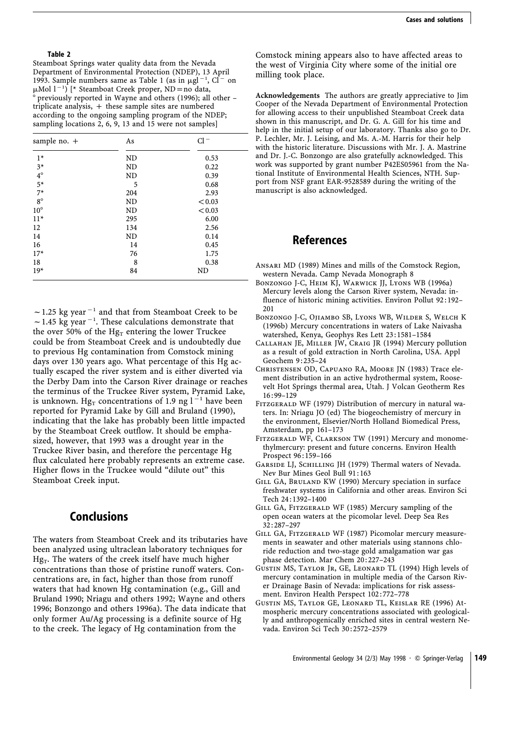#### **Table 2**

Steamboat Springs water quality data from the Nevada Department of Environmental Protection (NDEP), 13 April 1993. Sample numbers same as Table 1 (as in  $\mu$ gl<sup>-1</sup>, Cl<sup>-</sup> on  $\mu$ Mol  $1^{-1}$ ) [\* Steamboat Creek proper, ND = no data, ° previously reported in Wayne and others (1996); all other triplicate analysis,  $+$  these sample sites are numbered according to the ongoing sampling program of the NDEP; sampling locations 2, 6, 9, 13 and 15 were not samples]

| sample no. + | As        | $Cl^-$ |
|--------------|-----------|--------|
| $1*$         | ND        | 0.53   |
| $3*$         | <b>ND</b> | 0.22   |
| $4^\circ$    | ND        | 0.39   |
| $5*$         | 5         | 0.68   |
| $7*$         | 204       | 2.93   |
| $8^\circ$    | ND        | < 0.03 |
| $10^{\circ}$ | ND        | < 0.03 |
| $11*$        | 295       | 6.00   |
| 12           | 134       | 2.56   |
| 14           | ND        | 0.14   |
| 16           | 14        | 0.45   |
| $17*$        | 76        | 1.75   |
| 18           | 8         | 0.38   |
| $19*$        | 84        | ND     |

 $\sim$  1.25 kg year<sup>-1</sup> and that from Steamboat Creek to be  $\sim$  1.45 kg year<sup>-1</sup>. These calculations demonstrate that the over 50% of the Hg<sub>T</sub> entering the lower Truckee could be from Steamboat Creek and is undoubtedly due to previous Hg contamination from Comstock mining days over 130 years ago. What percentage of this Hg actually escaped the river system and is either diverted via the Derby Dam into the Carson River drainage or reaches the terminus of the Truckee River system, Pyramid Lake, is unknown. Hg<sub>T</sub> concentrations of 1.9 ng l<sup>-1</sup> have been reported for Pyramid Lake by Gill and Bruland (1990), indicating that the lake has probably been little impacted by the Steamboat Creek outflow. It should be emphasized, however, that 1993 was a drought year in the Truckee River basin, and therefore the percentage Hg flux calculated here probably represents an extreme case. Higher flows in the Truckee would "dilute out" this Steamboat Creek input.

### **Conclusions**

The waters from Steamboat Creek and its tributaries have been analyzed using ultraclean laboratory techniques for  $Hg_T$ . The waters of the creek itself have much higher concentrations than those of pristine runoff waters. Concentrations are, in fact, higher than those from runoff waters that had known Hg contamination (e.g., Gill and Bruland 1990; Nriagu and others 1992; Wayne and others 1996; Bonzongo and others 1996a). The data indicate that only former Au/Ag processing is a definite source of Hg to the creek. The legacy of Hg contamination from the

Comstock mining appears also to have affected areas to the west of Virginia City where some of the initial ore milling took place.

**Acknowledgements** The authors are greatly appreciative to Jim Cooper of the Nevada Department of Environmental Protection for allowing access to their unpublished Steamboat Creek data shown in this manuscript, and Dr. G. A. Gill for his time and help in the initial setup of our laboratory. Thanks also go to Dr. P. Lechler, Mr. J. Leising, and Ms. A.-M. Harris for their help with the historic literature. Discussions with Mr. J. A. Mastrine and Dr. J.-C. Bonzongo are also gratefully acknowledged. This work was supported by grant number P42ES05961 from the National Institute of Environmental Health Sciences, NTH. Support from NSF grant EAR-9528589 during the writing of the manuscript is also acknowledged.

## **References**

- Ansari MD (1989) Mines and mills of the Comstock Region, western Nevada. Camp Nevada Monograph 8
- Bonzongo J-C, Heim KJ, Warwick JJ, Lyons WB (1996a) Mercury levels along the Carson River system, Nevada: influence of historic mining activities. Environ Pollut 92:192-201
- Bonzongo J-C, Ojiambo SB, Lyons WB, Wilder S, Welch K (1996b) Mercury concentrations in waters of Lake Naivasha watershed, Kenya, Geophys Res Lett 23 : 1581–1584
- Callahan JE, Miller JW, Craig JR (1994) Mercury pollution as a result of gold extraction in North Carolina, USA. Appl Geochem 9:235-24
- Christensen OD, Capuano RA, Moore JN (1983) Trace element distribution in an active hydrothermal system, Roosevelt Hot Springs thermal area, Utah. J Volcan Geotherm Res  $16:99 - 129$
- FITZGERALD WF (1979) Distribution of mercury in natural waters. In: Nriagu JO (ed) The biogeochemistry of mercury in the environment, Elsevier/North Holland Biomedical Press, Amsterdam, pp 161–173
- Fitzgerald WF, Clarkson TW (1991) Mercury and monomethylmercury: present and future concerns. Environ Health Prospect 96 : 159–166
- GARSIDE LJ, SCHILLING JH (1979) Thermal waters of Nevada. Nev Bur Mines Geol Bull 91 : 163
- Gill GA, Bruland KW (1990) Mercury speciation in surface freshwater systems in California and other areas. Environ Sci Tech 24 : 1392–1400
- GILL GA, FITZGERALD WF (1985) Mercury sampling of the open ocean waters at the picomolar level. Deep Sea Res 32 : 287–297
- Gill GA, Fitzgerald WF (1987) Picomolar mercury measurements in seawater and other materials using stannons chloride reduction and two-stage gold amalgamation war gas phase detection. Mar Chem 20 : 227–243
- Gustin MS, Taylor Jr, GE, Leonard TL (1994) High levels of mercury contamination in multiple media of the Carson River Drainage Basin of Nevada: implications for risk assessment. Environ Health Perspect 102 : 772–778
- Gustin MS, Taylor GE, Leonard TL, Keislar RE (1996) Atmospheric mercury concentrations associated with geologically and anthropogenically enriched sites in central western Nevada. Environ Sci Tech 30 : 2572–2579